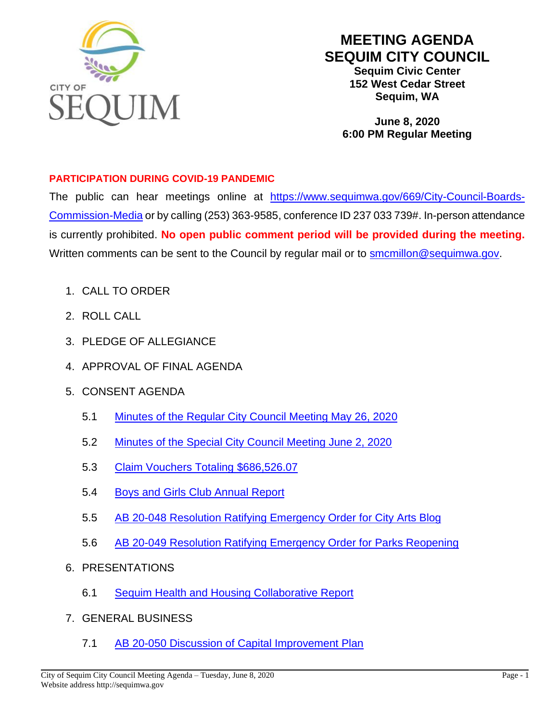

## **MEETING AGENDA SEQUIM CITY COUNCIL**

**Sequim Civic Center 152 West Cedar Street Sequim, WA**

**June 8, 2020 6:00 PM Regular Meeting**

## **PARTICIPATION DURING COVID-19 PANDEMIC**

The public can hear meetings online at [https://www.sequimwa.gov/669/City-Council-Boards-](https://www.sequimwa.gov/669/City-Council-Boards-Commission-Media)[Commission-Media](https://www.sequimwa.gov/669/City-Council-Boards-Commission-Media) or by calling (253) 363-9585, conference ID 237 033 739#. In-person attendance is currently prohibited. **No open public comment period will be provided during the meeting.**  Written comments can be sent to the Council by regular mail or to **[smcmillon@sequimwa.gov.](mailto:smcmillon@sequimwa.gov)** 

- 1. CALL TO ORDER
- 2. ROLL CALL
- 3. PLEDGE OF ALLEGIANCE
- 4. APPROVAL OF FINAL AGENDA
- 5. CONSENT AGENDA
	- 5.1 [Minutes of the Regular City Council Meeting May 26, 2020](https://www.sequimwa.gov/DocumentCenter/View/15749/2020-05-26_Minutes_City-Council)
	- 5.2 [Minutes of the Special City Council Meeting June 2, 2020](https://www.sequimwa.gov/DocumentCenter/View/15750/2020-06-02_Minutes_City-Council)
	- 5.3 [Claim Vouchers Totaling](https://www.sequimwa.gov/DocumentCenter/View/15753/Claim-voucher-recap-for-June-8) \$686,526.07
	- 5.4 [Boys and Girls Club Annual Report](https://www.sequimwa.gov/DocumentCenter/View/15752/2020-06-08_Council_Boys-and-Girls-Club-Report)
	- 5.5 AB 20-048 Resolution [Ratifying Emergency Order](https://www.sequimwa.gov/DocumentCenter/View/15739/AGENDA-BILL) for City Arts Blog
	- 5.6 AB 20-049 [Resolution Ratifying Emergency Order for Parks Reopening](https://www.sequimwa.gov/DocumentCenter/View/15742/Agenda-Bill---Ratification-of-Emergency-Order-2020-20)
- 6. PRESENTATIONS
	- 6.1 [Sequim Health and Housing Collaborative Report](https://www.sequimwa.gov/DocumentCenter/View/15754/Agenda-Item-62-SHHC-Report)
- 7. GENERAL BUSINESS
	- 7.1 AB 20-050 [Discussion of Capital Improvement Plan](https://www.sequimwa.gov/DocumentCenter/View/15745/CC-Agenda-Cover-Sheet_CIP_06022020)